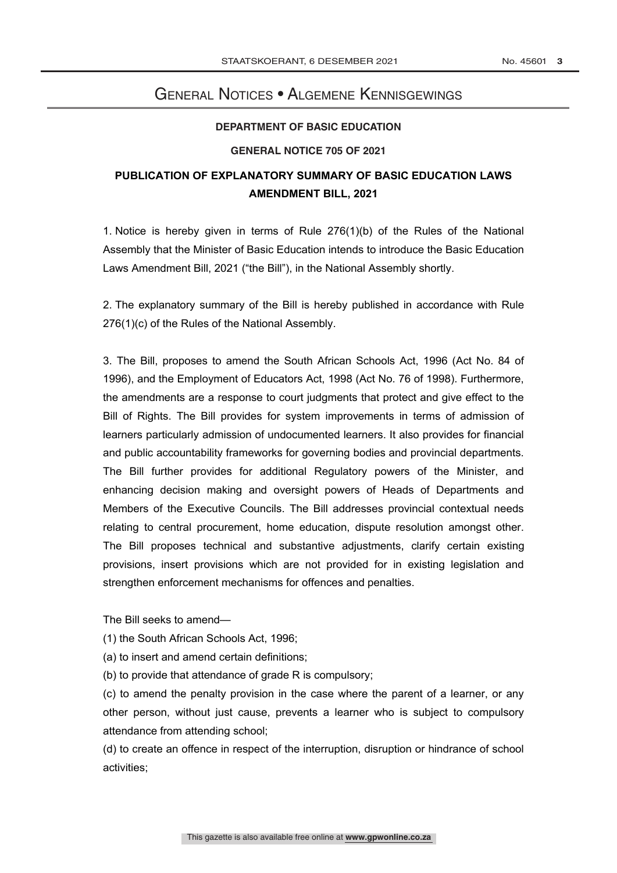## General Notices • Algemene Kennisgewings **GENERAL NOTICE**

## **DEPARTMENT OF BASIC EDUCATION**

## **GENERAL NOTICE 705 OF 2021**

## **PUBLICATION OF EXPLANATORY SUMMARY OF BASIC EDUCATION LAWS AMENDMENT BILL, 2021**

1. Notice is hereby given in terms of Rule 276(1)(b) of the Rules of the National Assembly that the Minister of Basic Education intends to introduce the Basic Education Laws Amendment Bill, 2021 ("the Bill"), in the National Assembly shortly.

2. The explanatory summary of the Bill is hereby published in accordance with Rule 276(1)(c) of the Rules of the National Assembly.

3. The Bill, proposes to amend the South African Schools Act, 1996 (Act No. 84 of 1996), and the Employment of Educators Act, 1998 (Act No. 76 of 1998). Furthermore, the amendments are a response to court judgments that protect and give effect to the Bill of Rights. The Bill provides for system improvements in terms of admission of learners particularly admission of undocumented learners. It also provides for financial and public accountability frameworks for governing bodies and provincial departments. The Bill further provides for additional Regulatory powers of the Minister, and enhancing decision making and oversight powers of Heads of Departments and Members of the Executive Councils. The Bill addresses provincial contextual needs relating to central procurement, home education, dispute resolution amongst other. The Bill proposes technical and substantive adjustments, clarify certain existing provisions, insert provisions which are not provided for in existing legislation and strengthen enforcement mechanisms for offences and penalties.

The Bill seeks to amend—

(1) the South African Schools Act, 1996;

- (a) to insert and amend certain definitions;
- (b) to provide that attendance of grade R is compulsory;

(c) to amend the penalty provision in the case where the parent of a learner, or any other person, without just cause, prevents a learner who is subject to compulsory attendance from attending school;

(d) to create an offence in respect of the interruption, disruption or hindrance of school activities;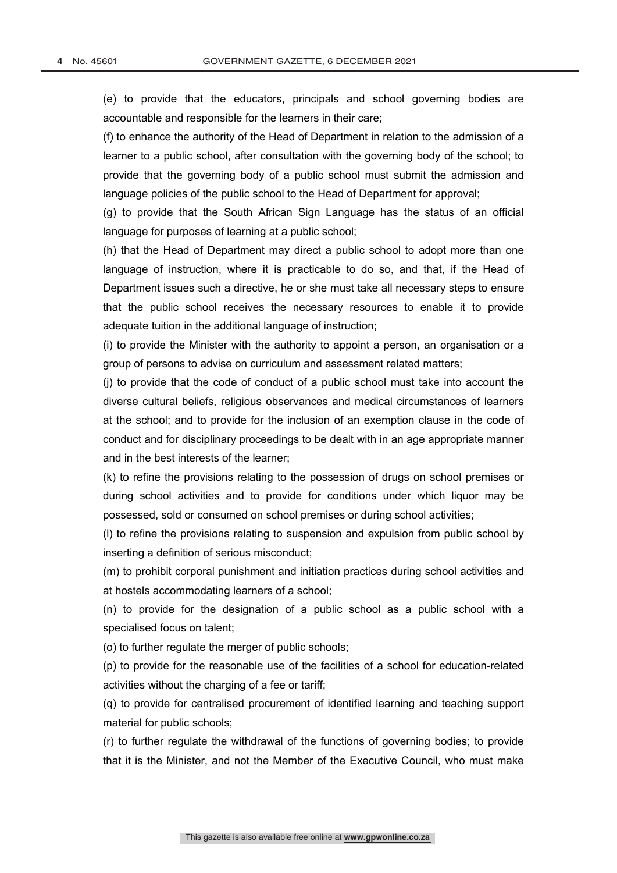(e) to provide that the educators, principals and school governing bodies are accountable and responsible for the learners in their care;

(f) to enhance the authority of the Head of Department in relation to the admission of a learner to a public school, after consultation with the governing body of the school; to provide that the governing body of a public school must submit the admission and language policies of the public school to the Head of Department for approval;

(g) to provide that the South African Sign Language has the status of an official language for purposes of learning at a public school;

(h) that the Head of Department may direct a public school to adopt more than one language of instruction, where it is practicable to do so, and that, if the Head of Department issues such a directive, he or she must take all necessary steps to ensure that the public school receives the necessary resources to enable it to provide adequate tuition in the additional language of instruction;

(i) to provide the Minister with the authority to appoint a person, an organisation or a group of persons to advise on curriculum and assessment related matters;

(j) to provide that the code of conduct of a public school must take into account the diverse cultural beliefs, religious observances and medical circumstances of learners at the school; and to provide for the inclusion of an exemption clause in the code of conduct and for disciplinary proceedings to be dealt with in an age appropriate manner and in the best interests of the learner;

(k) to refine the provisions relating to the possession of drugs on school premises or during school activities and to provide for conditions under which liquor may be possessed, sold or consumed on school premises or during school activities;

(l) to refine the provisions relating to suspension and expulsion from public school by inserting a definition of serious misconduct;

(m) to prohibit corporal punishment and initiation practices during school activities and at hostels accommodating learners of a school;

(n) to provide for the designation of a public school as a public school with a specialised focus on talent;

(o) to further regulate the merger of public schools;

(p) to provide for the reasonable use of the facilities of a school for education-related activities without the charging of a fee or tariff;

(q) to provide for centralised procurement of identified learning and teaching support material for public schools;

(r) to further regulate the withdrawal of the functions of governing bodies; to provide that it is the Minister, and not the Member of the Executive Council, who must make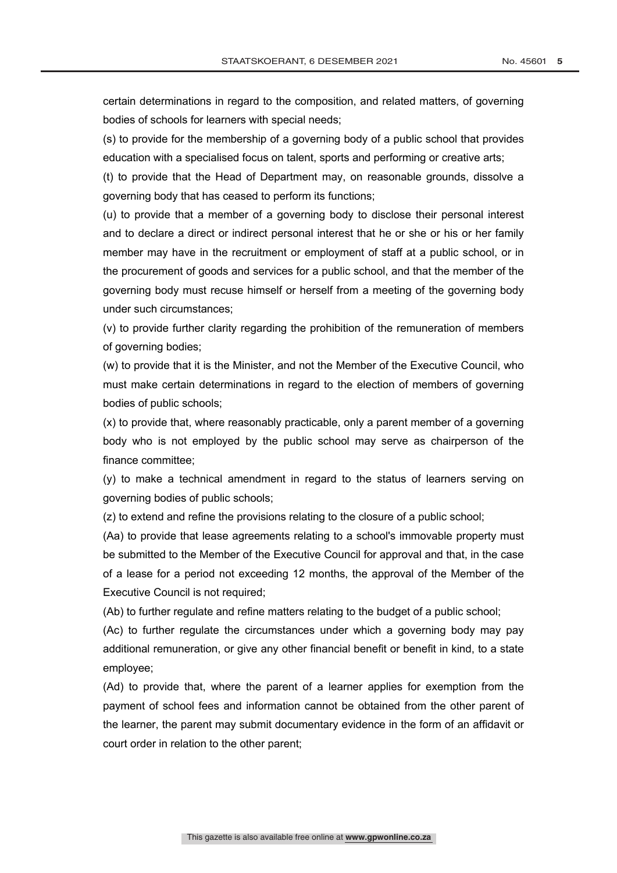certain determinations in regard to the composition, and related matters, of governing bodies of schools for learners with special needs;

(s) to provide for the membership of a governing body of a public school that provides education with a specialised focus on talent, sports and performing or creative arts;

(t) to provide that the Head of Department may, on reasonable grounds, dissolve a governing body that has ceased to perform its functions;

(u) to provide that a member of a governing body to disclose their personal interest and to declare a direct or indirect personal interest that he or she or his or her family member may have in the recruitment or employment of staff at a public school, or in the procurement of goods and services for a public school, and that the member of the governing body must recuse himself or herself from a meeting of the governing body under such circumstances;

(v) to provide further clarity regarding the prohibition of the remuneration of members of governing bodies;

(w) to provide that it is the Minister, and not the Member of the Executive Council, who must make certain determinations in regard to the election of members of governing bodies of public schools;

(x) to provide that, where reasonably practicable, only a parent member of a governing body who is not employed by the public school may serve as chairperson of the finance committee;

(y) to make a technical amendment in regard to the status of learners serving on governing bodies of public schools;

(z) to extend and refine the provisions relating to the closure of a public school;

(Aa) to provide that lease agreements relating to a school's immovable property must be submitted to the Member of the Executive Council for approval and that, in the case of a lease for a period not exceeding 12 months, the approval of the Member of the Executive Council is not required;

(Ab) to further regulate and refine matters relating to the budget of a public school;

(Ac) to further regulate the circumstances under which a governing body may pay additional remuneration, or give any other financial benefit or benefit in kind, to a state employee;

(Ad) to provide that, where the parent of a learner applies for exemption from the payment of school fees and information cannot be obtained from the other parent of the learner, the parent may submit documentary evidence in the form of an affidavit or court order in relation to the other parent;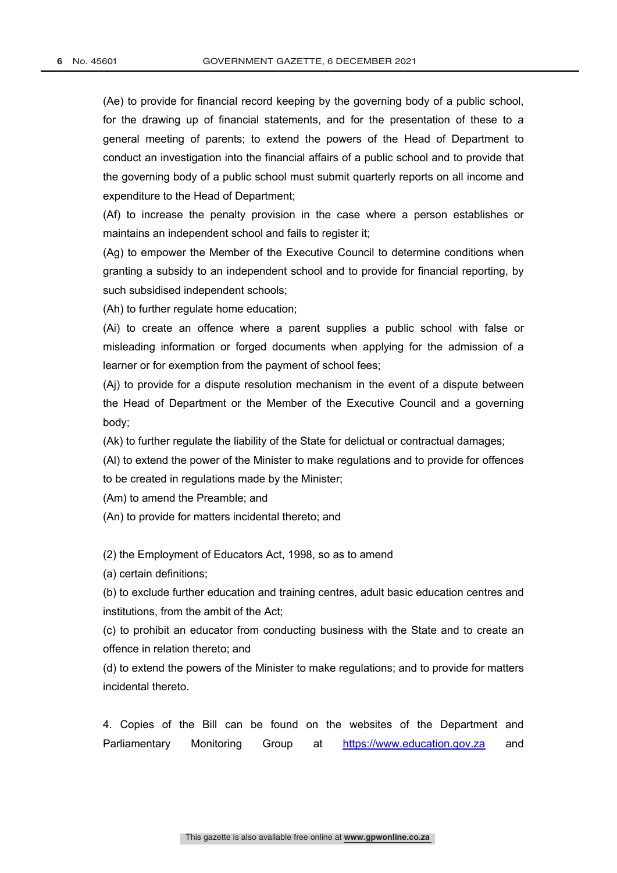(Ae) to provide for financial record keeping by the governing body of a public school, for the drawing up of financial statements, and for the presentation of these to a general meeting of parents; to extend the powers of the Head of Department to conduct an investigation into the financial affairs of a public school and to provide that the governing body of a public school must submit quarterly reports on all income and expenditure to the Head of Department;

(Af) to increase the penalty provision in the case where a person establishes or maintains an independent school and fails to register it;

(Ag) to empower the Member of the Executive Council to determine conditions when granting a subsidy to an independent school and to provide for financial reporting, by such subsidised independent schools;

(Ah) to further regulate home education;

(Ai) to create an offence where a parent supplies a public school with false or misleading information or forged documents when applying for the admission of a learner or for exemption from the payment of school fees;

(Aj) to provide for a dispute resolution mechanism in the event of a dispute between the Head of Department or the Member of the Executive Council and a governing body;

(Ak) to further regulate the liability of the State for delictual or contractual damages;

(Al) to extend the power of the Minister to make regulations and to provide for offences to be created in regulations made by the Minister;

(Am) to amend the Preamble; and

(An) to provide for matters incidental thereto; and

(2) the Employment of Educators Act, 1998, so as to amend

(a) certain definitions;

(b) to exclude further education and training centres, adult basic education centres and institutions, from the ambit of the Act;

(c) to prohibit an educator from conducting business with the State and to create an offence in relation thereto; and

(d) to extend the powers of the Minister to make regulations; and to provide for matters incidental thereto.

4. Copies of the Bill can be found on the websites of the Department and Parliamentary Monitoring Group at https://www.education.gov.za and